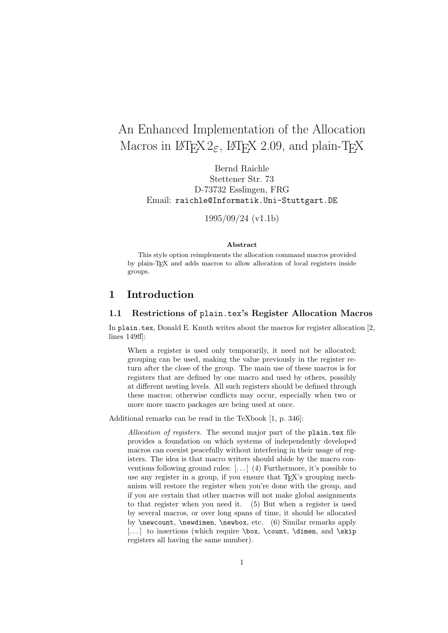# An Enhanced Implementation of the Allocation Macros in  $\text{MTF}X2_{\varepsilon}$ ,  $\text{MTF}X 2.09$ , and plain-TFX

Bernd Raichle Stettener Str. 73 D-73732 Esslingen, FRG Email: raichle@Informatik.Uni-Stuttgart.DE

1995/09/24 (v1.1b)

## **Abstract**

This style option reimplements the allocation command macros provided by plain-TEX and adds macros to allow allocation of local registers inside groups.

# **1 Introduction**

## **1.1 Restrictions of** plain.tex**'s Register Allocation Macros**

In plain.tex, Donald E. Knuth writes about the macros for register allocation [2, lines 149ff]:

When a register is used only temporarily, it need not be allocated; grouping can be used, making the value previously in the register return after the close of the group. The main use of these macros is for registers that are defined by one macro and used by others, possibly at different nesting levels. All such registers should be defined through these macros; otherwise conflicts may occur, especially when two or more more macro packages are being used at once.

Additional remarks can be read in the TeXbook [1, p. 346]:

*Allocation of registers.* The second major part of the plain.tex file provides a foundation on which systems of independently developed macros can coexist peacefully without interfering in their usage of registers. The idea is that macro writers should abide by the macro conventions following ground rules: [. . . ] (4) Furthermore, it's possible to use any register in a group, if you ensure that T<sub>E</sub>X's grouping mechanism will restore the register when you're done with the group, and if you are certain that other macros will not make global assignments to that register when you need it. (5) But when a register is used by several macros, or over long spans of time, it should be allocated by \newcount, \newdimen, \newbox, etc. (6) Similar remarks apply [...] to insertions (which require  $\boxtimes$ ,  $\count$ ,  $\dim$ , and  $\skip 1mm \text{skip}$ registers all having the same number).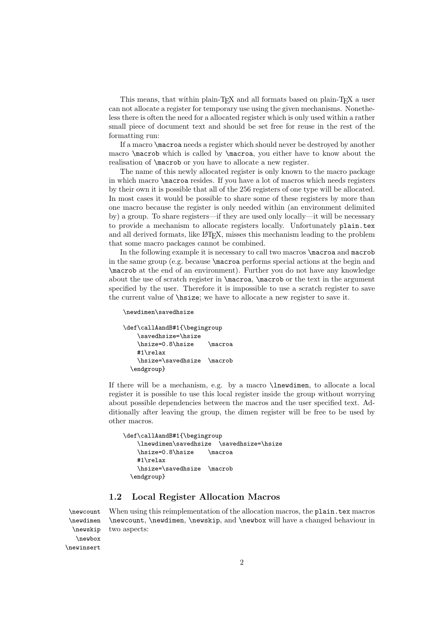This means, that within plain-TEX and all formats based on plain-TEX a user can not allocate a register for temporary use using the given mechanisms. Nonetheless there is often the need for a allocated register which is only used within a rather small piece of document text and should be set free for reuse in the rest of the formatting run:

If a macro \macroa needs a register which should never be destroyed by another macro \macrob which is called by \macroa, you either have to know about the realisation of \macrob or you have to allocate a new register.

The name of this newly allocated register is only known to the macro package in which macro \macroa resides. If you have a lot of macros which needs registers by their own it is possible that all of the 256 registers of one type will be allocated. In most cases it would be possible to share some of these registers by more than one macro because the register is only needed within (an environment delimited by) a group. To share registers—if they are used only locally—it will be necessary to provide a mechanism to allocate registers locally. Unfortunately plain.tex and all derived formats, like LAT<sub>F</sub>X, misses this mechanism leading to the problem that some macro packages cannot be combined.

In the following example it is necessary to call two macros \macroa and macrob in the same group (e.g. because \macroa performs special actions at the begin and \macrob at the end of an environment). Further you do not have any knowledge about the use of scratch register in \macroa, \macrob or the text in the argument specified by the user. Therefore it is impossible to use a scratch register to save the current value of \hsize; we have to allocate a new register to save it.

#### \newdimen\savedhsize

```
\def\callAandB#1{\begingroup
   \savedhsize=\hsize
   \hsize=0.8\hsize \macroa
   #1\relax
   \hsize=\savedhsize \macrob
  \endgroup}
```
If there will be a mechanism, e.g. by a macro \lnewdimen, to allocate a local register it is possible to use this local register inside the group without worrying about possible dependencies between the macros and the user specified text. Additionally after leaving the group, the dimen register will be free to be used by other macros.

```
\def\callAandB#1{\begingroup
   \lnewdimen\savedhsize \savedhsize=\hsize
   \hsize=0.8\hsize \macroa
   #1\relax
   \hsize=\savedhsize \macrob
  \endgroup}
```
# **1.2 Local Register Allocation Macros**

\newcount When using this reimplementation of the allocation macros, the plain.tex macros \newdimen \newcount, \newdimen, \newskip, and \newbox will have a changed behaviour in two aspects:

```
\newskip
   \newbox
\newinsert
```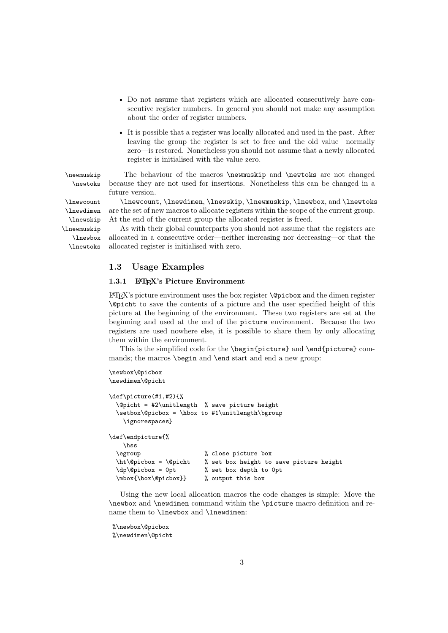- Do not assume that registers which are allocated consecutively have consecutive register numbers. In general you should not make any assumption about the order of register numbers.
- It is possible that a register was locally allocated and used in the past. After leaving the group the register is set to free and the old value—normally zero—is restored. Nonetheless you should not assume that a newly allocated register is initialised with the value zero.

\newmuskip The behaviour of the macros \newmuskip and \newtoks are not changed \newtoks because they are not used for insertions. Nonetheless this can be changed in a future version.

\lnewcount \lnewcount, \lnewdimen, \lnewskip, \lnewmuskip, \lnewbox, and \lnewtoks are the set of new macros to allocate registers within the scope of the current group. At the end of the current group the allocated register is freed.

\lnewtoks As with their global counterparts you should not assume that the registers are allocated in a consecutive order—neither increasing nor decreasing—or that the allocated register is initialised with zero.

## **1.3 Usage Examples**

## 1.3.1 **LAPEX's Picture Environment**

 $\angle$  ET<sub>F</sub>X's picture environment uses the box register  $\Diamond$  picbox and the dimen register \@picht to save the contents of a picture and the user specified height of this picture at the beginning of the environment. These two registers are set at the beginning and used at the end of the picture environment. Because the two registers are used nowhere else, it is possible to share them by only allocating them within the environment.

This is the simplified code for the \begin{picture} and \end{picture} commands; the macros \begin and \end start and end a new group:

```
\newbox\@picbox
\newdimen\@picht
\def\picture(#1,#2){%
 \@picht = #2\unitlength % save picture height
 \setbox\@picbox = \hbox to #1\unitlength\bgroup
   \ignorespaces}
\def\endpicture{%
   \hss
 \egroup % close picture box
 \ht\@picbox = \@picht % set box height to save picture height
 \dp\@picbox = 0pt % set box depth to 0pt
 \mbox{\box\@picbox}} % output this box
```
Using the new local allocation macros the code changes is simple: Move the \newbox and \newdimen command within the \picture macro definition and rename them to \lnewbox and \lnewdimen:

```
%\newbox\@picbox
%\newdimen\@picht
```
\lnewdimen \lnewskip \lnewmuskip \lnewbox

3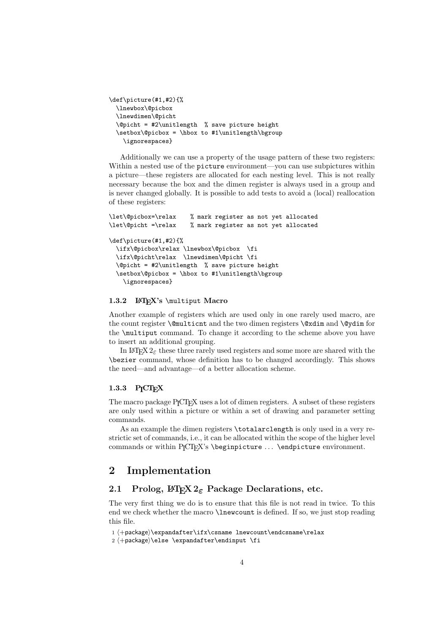```
\def\picture(#1,#2){%
  \lnewbox\@picbox
  \lnewdimen\@picht
 \@picht = #2\unitlength % save picture height
  \setbox\@picbox = \hbox to #1\unitlength\bgroup
    \ignorespaces}
```
Additionally we can use a property of the usage pattern of these two registers: Within a nested use of the picture environment—you can use subpictures within a picture—these registers are allocated for each nesting level. This is not really necessary because the box and the dimen register is always used in a group and is never changed globally. It is possible to add tests to avoid a (local) reallocation of these registers:

```
\let\@picbox=\relax % mark register as not yet allocated
\let\@picht =\relax % mark register as not yet allocated
\def\picture(#1,#2){%
 \ifx\@picbox\relax \lnewbox\@picbox \fi
 \ifx\@picht\relax \lnewdimen\@picht \fi
 \@picht = #2\unitlength % save picture height
 \setbox\@picbox = \hbox to #1\unitlength\bgroup
   \ignorespaces}
```
#### 1.3.2 **LAPEX's** \multiput **Macro**

Another example of registers which are used only in one rarely used macro, are the count register \@multicnt and the two dimen registers \@xdim and \@ydim for the \multiput command. To change it according to the scheme above you have to insert an additional grouping.

In LAT<sub>EX</sub>  $2\varepsilon$  these three rarely used registers and some more are shared with the \bezier command, whose definition has to be changed accordingly. This shows the need—and advantage—of a better allocation scheme.

## 1.3.3 P<sub>I</sub>CT<sub>F</sub>X

The macro package PICTEX uses a lot of dimen registers. A subset of these registers are only used within a picture or within a set of drawing and parameter setting commands.

As an example the dimen registers \totalarclength is only used in a very restrictic set of commands, i.e., it can be allocated within the scope of the higher level commands or within P<sub>I</sub>CT<sub>F</sub>X's \beginpicture ... \endpicture environment.

# **2 Implementation**

# **2.1 Prolog, LATEX 2**ε **Package Declarations, etc.**

The very first thing we do is to ensure that this file is not read in twice. To this end we check whether the macro \lnewcount is defined. If so, we just stop reading this file.

```
1 \rightarrow hexpandafter\ifx\csname lnewcount\endcsname\relax
```

```
2 \pmpackage)\else \expandafter\endinput \fi
```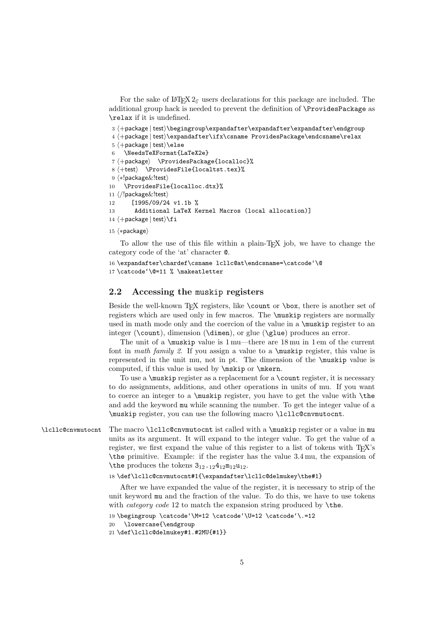```
For the sake of \text{LATEX } 2\varepsilon users declarations for this package are included. The
additional group hack is needed to prevent the definition of \ProvidesPackage as
\relax if it is undefined.
```

```
3 +package | test \begingroup\expandafter\expandafter\expandafter\endgroup
```
4 \+package | test\\expandafter\ifx\csname ProvidesPackage\endcsname\relax

```
5 \rightarrow hackage | test\leelse
6 \NeedsTeXFormat{LaTeX2e}
7 \langle +package\rangle \ProvidesPackage{localloc}%
8 \leftarrowtest\rangle \ProvidesFile{localtst.tex}%
9 (*!package&!test)
10 \ProvidesFile{localloc.dtx}%
11 (/!package&!test)
12 [1995/09/24 v1.1b %
13 Additional LaTeX Kernel Macros (local allocation)]
14 \langle +package | test\rangle \fi
```
15  $\langle *package \rangle$ 

To allow the use of this file within a plain-TEX job, we have to change the category code of the 'at' character @.

```
16 \expandafter\chardef\csname lcllc@at\endcsname=\catcode'\@
17 \catcode'\@=11 % \makeatletter
```
# **2.2 Accessing the** muskip **registers**

Beside the well-known T<sub>E</sub>X registers, like  $\count$  or  $\boxtimes$ , there is another set of registers which are used only in few macros. The \muskip registers are normally used in math mode only and the coercion of the value in a  $\text{uskip}$  register to an integer (\count), dimension (\dimen), or glue (\glue) produces an error.

The unit of a \muskip value is 1 mu—there are 18 mu in 1 em of the current font in *math family 2*. If you assign a value to a \muskip register, this value is represented in the unit mu, not in pt. The dimension of the \muskip value is computed, if this value is used by \mskip or \mkern.

To use a \muskip register as a replacement for a \count register, it is necessary to do assignments, additions, and other operations in units of mu. If you want to coerce an integer to a \muskip register, you have to get the value with \the and add the keyword mu while scanning the number. To get the integer value of a \muskip register, you can use the following macro \lcllc@cnvmutocnt.

\lcllc@cnvmutocnt The macro \lcllc@cnvmutocnt ist called with a \muskip register or a value in mu units as its argument. It will expand to the integer value. To get the value of a register, we first expand the value of this register to a list of tokens with TFX's \the primitive. Example: if the register has the value 3.4 mu, the expansion of \the produces the tokens  $3_{12.12}4_{12}m_{12}u_{12}$ .

#### 18 \def\lcllc@cnvmutocnt#1{\expandafter\lcllc@delmukey\the#1}

After we have expanded the value of the register, it is necessary to strip of the unit keyword mu and the fraction of the value. To do this, we have to use tokens with *category code* 12 to match the expansion string produced by \the.

```
19 \begingroup \catcode'\M=12 \catcode'\U=12 \catcode'\.=12
```

```
20 \lowercase{\endgroup
```

```
21 \def\lcllc@delmukey#1.#2MU{#1}}
```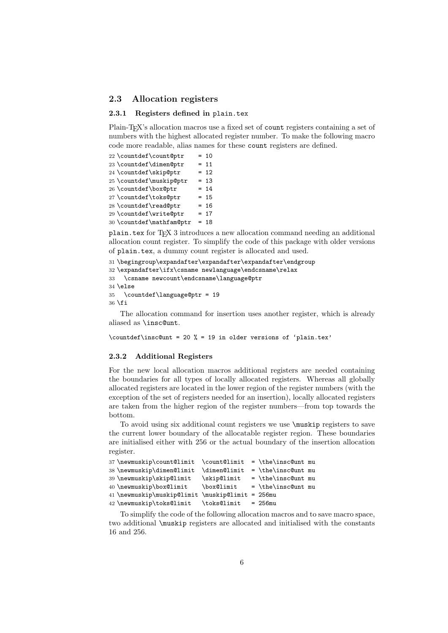## **2.3 Allocation registers**

### **2.3.1 Registers defined in** plain.tex

Plain-T<sub>E</sub>X's allocation macros use a fixed set of count registers containing a set of numbers with the highest allocated register number. To make the following macro code more readable, alias names for these count registers are defined.

```
22 \text{countdef}\count@ptr = 1023 \countdef\dimen@ptr = 1124 \text{countdef}\skip20ptr = 1225 \countdef\muskip@ptr = 13
26 \countdef\boxminus\psi = 14
27\countdef\toks@ptr = 15<br>28\countdef\read@ptr = 16
28 \countdef\read@ptr = 16
29 \countdef\write@ptr = 17
30 \countdef\mathfam@ptr = 18
```
plain.tex for TEX 3 introduces a new allocation command needing an additional allocation count register. To simplify the code of this package with older versions of plain.tex, a dummy count register is allocated and used.

```
31 \begingroup\expandafter\expandafter\expandafter\endgroup
32 \expandafter\ifx\csname newlanguage\endcsname\relax
33 \csname newcount\endcsname\language@ptr
34 \else
35 \countdef\language@ptr = 19
36 \fi
```
The allocation command for insertion uses another register, which is already aliased as \insc@unt.

```
\countdef\insc@unt = 20 % = 19 in older versions of 'plain.tex'
```
## **2.3.2 Additional Registers**

For the new local allocation macros additional registers are needed containing the boundaries for all types of locally allocated registers. Whereas all globally allocated registers are located in the lower region of the register numbers (with the exception of the set of registers needed for an insertion), locally allocated registers are taken from the higher region of the register numbers—from top towards the bottom.

To avoid using six additional count registers we use \muskip registers to save the current lower boundary of the allocatable register region. These boundaries are initialised either with 256 or the actual boundary of the insertion allocation register.

```
37\newmuskip\count@limit \count@limit = \the\insc@unt mu
38\newmuskip\dimen@limit \dimen@limit = \the\insc@unt mu
39 \newmuskip\skip@limit \skip@limit = \the\insc@unt mu
40 \newmuskip\box@limit \box@limit = \the\insc@unt mu
41 \newmuskip\muskip@limit \muskip@limit = 256mu
42 \newmuskip\toks@limit \toks@limit = 256mu
```
To simplify the code of the following allocation macros and to save macro space, two additional \muskip registers are allocated and initialised with the constants 16 and 256.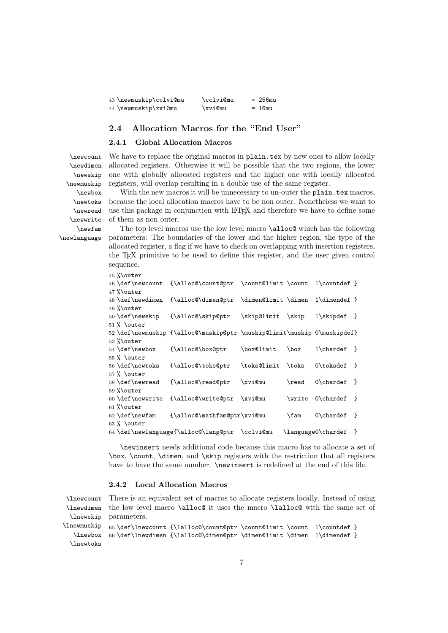| 43 \newmuskip\cclvi@mu | \cclvi@mu | $= 256$ mu |
|------------------------|-----------|------------|
| 44 \newmuskip\xvi@mu   | \xvi@mu   | $= 16mu$   |

# **2.4 Allocation Macros for the "End User"**

#### **2.4.1 Global Allocation Macros**

\newcount \newdimen \newskip \newmuskip \newbox \newtoks \newread \newwrite \newfam \newlanguage

We have to replace the original macros in plain.tex by new ones to allow locally allocated registers. Otherwise it will be possible that the two regions, the lower one with globally allocated registers and the higher one with locally allocated registers, will overlap resulting in a double use of the same register.

With the new macros it will be unnecessary to un-outer the plain.tex macros, because the local allocation macros have to be non outer. Nonetheless we want to use this package in conjunction with LATEX and therefore we have to define some of them as non outer.

The top level macros use the low level macro \alloc@ which has the following parameters: The boundaries of the lower and the higher region, the type of the allocated register, a flag if we have to check on overlapping with insertion registers, the TEX primitive to be used to define this register, and the user given control sequence.

| $45$ % outer                                                           |                                                                         |                   |               |                                    |  |
|------------------------------------------------------------------------|-------------------------------------------------------------------------|-------------------|---------------|------------------------------------|--|
| 46 \def\newcount                                                       | {\alloc@\count@ptr \count@limit \count                                  |                   |               | $1\$ countdef }                    |  |
| $47$ %\outer                                                           |                                                                         |                   |               |                                    |  |
| 48 \def\newdimen                                                       | {\alloc@\dimen@ptr \dimen@limit \dimen                                  |                   |               | $1\dim$ endef }                    |  |
| 49 $%$ outer                                                           |                                                                         |                   |               |                                    |  |
| 50 \def\newskip                                                        | $\{\alpha\}$ skip@ptr                                                   | \skip@limit \skip |               | $1\scriptstyle\setminus$ skipdef } |  |
| $51$ % \outer                                                          |                                                                         |                   |               |                                    |  |
|                                                                        | 52 \def\newmuskip {\alloc@\muskip@ptr \muskip@limit\muskip 0\muskipdef} |                   |               |                                    |  |
| $53$ % outer                                                           |                                                                         |                   |               |                                    |  |
| 54 \def\newbox                                                         | {\alloc@\box@ptr                                                        | \box@limit        | $\boxtimes$   | $1\chardef$ }                      |  |
| $55\%$ \outer                                                          |                                                                         |                   |               |                                    |  |
| 56 \def\newtoks                                                        | {\alloc@\toks@ptr                                                       | \toks@limit \toks |               | $0\text{toksdef}$ }                |  |
| $57$ % \outer                                                          |                                                                         |                   |               |                                    |  |
| 58 \def\newread                                                        | $\{\alpha\}$ read@ptr                                                   | \xvi@mu           | \read         | $0\chardef$ }                      |  |
| $59$ % outer                                                           |                                                                         |                   |               |                                    |  |
| 60 \def\newwrite                                                       | {\alloc@\write@ptr \xvi@mu                                              |                   | <b>\write</b> | $0\chardef$ }                      |  |
| $61$ %\outer                                                           |                                                                         |                   |               |                                    |  |
| 62 \def\newfam                                                         | {\alloc@\mathfam@ptr\xvi@mu                                             |                   | \fam          | $0\chardef$ }                      |  |
| $63$ % \outer                                                          |                                                                         |                   |               |                                    |  |
| 64 \def\newlanguage{\alloc@\lang@ptr \cclvi@mu<br>\language0\chardef } |                                                                         |                   |               |                                    |  |

\newinsert needs additional code because this macro has to allocate a set of \box, \count, \dimen, and \skip registers with the restriction that all registers have to have the same number. **\newinsert** is redefined at the end of this file.

#### **2.4.2 Local Allocation Macros**

\lnewcount \lnewdimen \lnewskip \lnewmuskip \lnewbox There is an equivalent set of macros to allocate registers locally. Instead of using the low level macro \alloc@ it uses the macro \lalloc@ with the same set of parameters. 65 \def\lnewcount {\lalloc@\count@ptr \count@limit \count 1\countdef } 66 \def\lnewdimen {\lalloc@\dimen@ptr \dimen@limit \dimen 1\dimendef }

```
\lnewtoks
```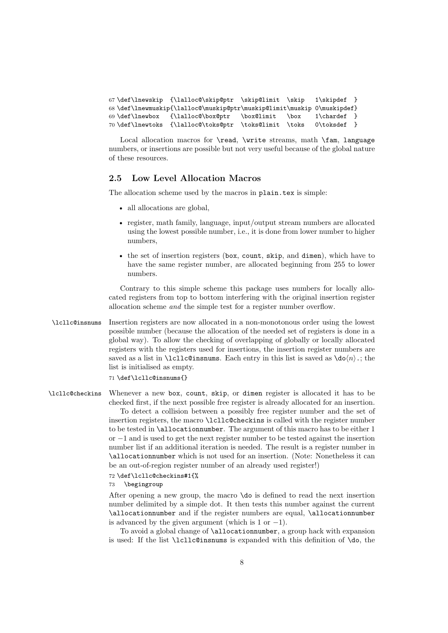```
67 \def\lnewskip {\lalloc@\skip@ptr \skip@limit \skip 1\skipdef }
68 \def\lnewmuskip{\lalloc@\muskip@ptr\muskip@limit\muskip 0\muskipdef}
69 \def\lnewbox {\lalloc@\box@ptr \box@limit \box 1\chardef }
70 \def\lnewtoks {\lalloc@\toks@ptr \toks@limit \toks 0\toksdef }
```
Local allocation macros for \read, \write streams, math \fam, language numbers, or insertions are possible but not very useful because of the global nature of these resources.

# **2.5 Low Level Allocation Macros**

The allocation scheme used by the macros in plain.tex is simple:

- all allocations are global,
- register, math family, language, input/output stream numbers are allocated using the lowest possible number, i.e., it is done from lower number to higher numbers,
- the set of insertion registers (box, count, skip, and dimen), which have to have the same register number, are allocated beginning from 255 to lower numbers.

Contrary to this simple scheme this package uses numbers for locally allocated registers from top to bottom interfering with the original insertion register allocation scheme *and* the simple test for a register number overflow.

\lcllc@insnums Insertion registers are now allocated in a non-monotonous order using the lowest possible number (because the allocation of the needed set of registers is done in a global way). To allow the checking of overlapping of globally or locally allocated registers with the registers used for insertions, the insertion register numbers are saved as a list in **\lcllc@insnums**. Each entry in this list is saved as  $\{do\n\}$ ; the list is initialised as empty.

71 \def\lcllc@insnums{}

\lcllc@checkins Whenever a new box, count, skip, or dimen register is allocated it has to be checked first, if the next possible free register is already allocated for an insertion.

> To detect a collision between a possibly free register number and the set of insertion registers, the macro \lcllc@checkins is called with the register number to be tested in \allocationnumber. The argument of this macro has to be either 1 or −1 and is used to get the next register number to be tested against the insertion number list if an additional iteration is needed. The result is a register number in \allocationnumber which is not used for an insertion. (Note: Nonetheless it can be an out-of-region register number of an already used register!)

72 \def\lcllc@checkins#1{%

73 \begingroup

After opening a new group, the macro \do is defined to read the next insertion number delimited by a simple dot. It then tests this number against the current \allocationnumber and if the register numbers are equal, \allocationnumber is advanced by the given argument (which is 1 or  $-1$ ).

To avoid a global change of \allocationnumber, a group hack with expansion is used: If the list \lcllc@insnums is expanded with this definition of \do, the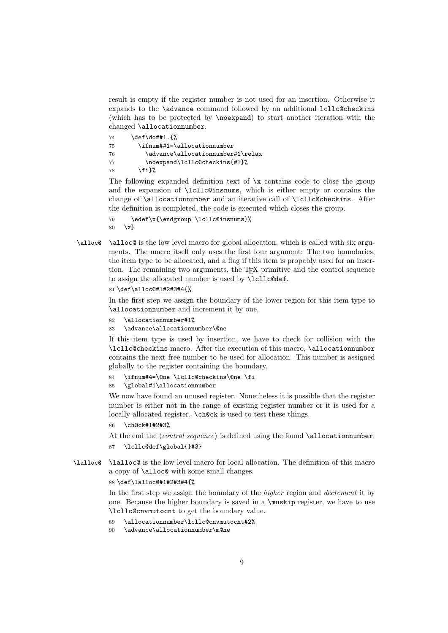result is empty if the register number is not used for an insertion. Otherwise it expands to the \advance command followed by an additional lcllc@checkins (which has to be protected by \noexpand) to start another iteration with the changed \allocationnumber.

| 74 | \def\do##1.{%                     |
|----|-----------------------------------|
| 75 | \ifnum##1=\allocationnumber       |
| 76 | \advance\allocationnumber#1\relax |
| 77 | \noexpand\lcllc@checkins{#1}%     |
| 78 | \fi}%                             |

The following expanded definition text of  $\chi$  contains code to close the group and the expansion of \lcllc@insnums, which is either empty or contains the change of \allocationnumber and an iterative call of \lcllc@checkins. After the definition is completed, the code is executed which closes the group.

```
79 \edef\x{\endgroup \lcllc@insnums}%
80 \x}
```
\alloc@ \alloc@ is the low level macro for global allocation, which is called with six arguments. The macro itself only uses the first four argument: The two boundaries, the item type to be allocated, and a flag if this item is propably used for an insertion. The remaining two arguments, the TEX primitive and the control sequence to assign the allocated number is used by \lcllc@def.

```
81 \def\alloc@#1#2#3#4{%
```
In the first step we assign the boundary of the lower region for this item type to \allocationnumber and increment it by one.

- 82 \allocationnumber#1%
- 83 \advance\allocationnumber\@ne

If this item type is used by insertion, we have to check for collision with the \lcllc@checkins macro. After the execution of this macro, \allocationnumber contains the next free number to be used for allocation. This number is assigned globally to the register containing the boundary.

84 \ifnum#4=\@ne \lcllc@checkins\@ne \fi

#### 85 \global#1\allocationnumber

We now have found an unused register. Nonetheless it is possible that the register number is either not in the range of existing register number or it is used for a locally allocated register. \ch@ck is used to test these things.

86 \ch@ck#1#2#3%

At the end the *(control sequence)* is defined using the found **\allocationnumber**. 87 \lcllc@def\global{}#3}

\lalloc@ \lalloc@ is the low level macro for local allocation. The definition of this macro a copy of \alloc@ with some small changes.

#### 88 \def\lalloc@#1#2#3#4{%

In the first step we assign the boundary of the *higher* region and *decrement* it by one. Because the higher boundary is saved in a \muskip register, we have to use \lcllc@cnvmutocnt to get the boundary value.

- 89 \allocationnumber\lcllc@cnvmutocnt#2%
- 90 \advance\allocationnumber\m@ne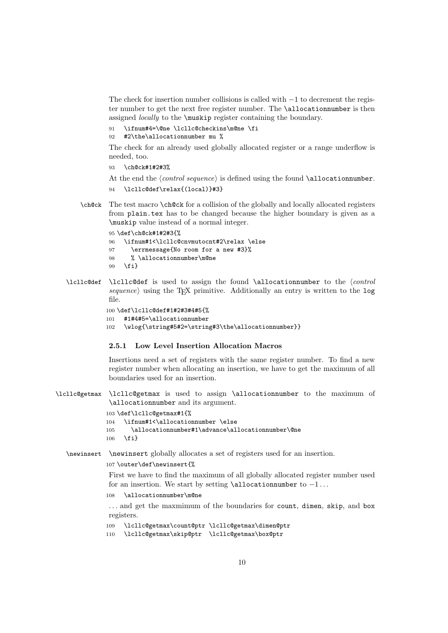The check for insertion number collisions is called with  $-1$  to decrement the register number to get the next free register number. The \allocationnumber is then assigned *locally* to the \muskip register containing the boundary.

- 91 \ifnum#4=\@ne \lcllc@checkins\m@ne \fi
- 92 #2\the\allocationnumber mu %

The check for an already used globally allocated register or a range underflow is needed, too.

- 93 \ch@ck#1#2#3%
- At the end the *(control sequence)* is defined using the found **\allocationnumber**.
- 94 \lcllc@def\relax{(local)}#3}
- \ch@ck The test macro \ch@ck for a collision of the globally and locally allocated registers from plain.tex has to be changed because the higher boundary is given as a \muskip value instead of a normal integer.
	- 95 \def\ch@ck#1#2#3{% 96 \ifnum#1<\lcllc@cnvmutocnt#2\relax \else 97 \errmessage{No room for a new #3}% 98 % \allocationnumber\m@ne 99 \fi}
- \lcllc@def \lcllc@def is used to assign the found \allocationnumber to the *\control*  $sequence$  using the T<sub>EX</sub> primitive. Additionally an entry is written to the log file.

```
100 \def\lcllc@def#1#2#3#4#5{%
101 #1#4#5=\allocationnumber
102 \wlog{\string#5#2=\string#3\the\allocationnumber}}
```
### **2.5.1 Low Level Insertion Allocation Macros**

Insertions need a set of registers with the same register number. To find a new register number when allocating an insertion, we have to get the maximum of all boundaries used for an insertion.

\lcllc@getmax \lcllc@getmax is used to assign \allocationnumber to the maximum of \allocationnumber and its argument.

```
103 \def\lcllc@getmax#1{%
104 \ifnum#1<\allocationnumber \else
105 \allocationnumber#1\advance\allocationnumber\@ne
106 \fi}
```
\newinsert \newinsert globally allocates a set of registers used for an insertion.

#### 107 \outer\def\newinsert{%

First we have to find the maximum of all globally allocated register number used for an insertion. We start by setting  $\alpha$  allocationnumber to  $-1...$ 

108 \allocationnumber\m@ne

... and get the maxmimum of the boundaries for count, dimen, skip, and box registers.

109 \lcllc@getmax\count@ptr \lcllc@getmax\dimen@ptr

```
110 \lcllc@getmax\skip@ptr \lcllc@getmax\box@ptr
```